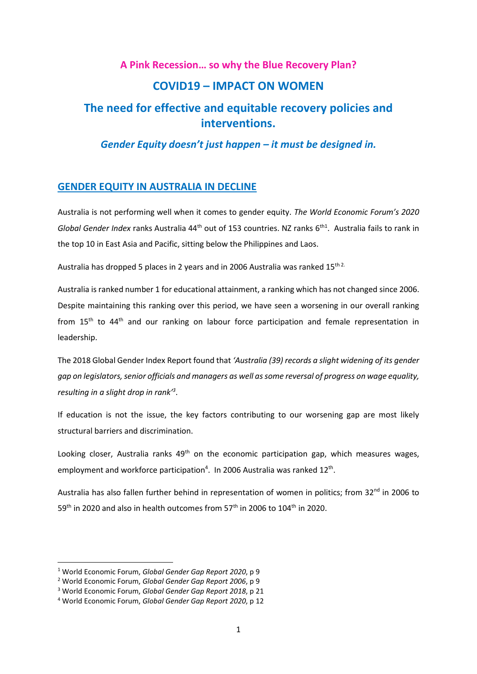# **A Pink Recession… so why the Blue Recovery Plan? COVID19 – IMPACT ON WOMEN The need for effective and equitable recovery policies and interventions.**

*Gender Equity doesn't just happen – it must be designed in.*

# **GENDER EQUITY IN AUSTRALIA IN DECLINE**

Australia is not performing well when it comes to gender equity. *The World Economic Forum's 2020*  Global Gender Index ranks Australia 44<sup>th</sup> out of 153 countries. NZ ranks 6<sup>th1</sup>. Australia fails to rank in the top 10 in East Asia and Pacific, sitting below the Philippines and Laos.

Australia has dropped 5 places in 2 years and in 2006 Australia was ranked  $15^{\text{th }2}$ .

Australia is ranked number 1 for educational attainment, a ranking which has not changed since 2006. Despite maintaining this ranking over this period, we have seen a worsening in our overall ranking from  $15<sup>th</sup>$  to  $44<sup>th</sup>$  and our ranking on labour force participation and female representation in leadership.

The 2018 Global Gender Index Report found that *'Australia (39) records a slight widening of its gender gap on legislators, senior officials and managers as well as some reversal of progress on wage equality, resulting in a slight drop in rank'<sup>3</sup>* .

If education is not the issue, the key factors contributing to our worsening gap are most likely structural barriers and discrimination.

Looking closer, Australia ranks  $49<sup>th</sup>$  on the economic participation gap, which measures wages, employment and workforce participation<sup>4</sup>. In 2006 Australia was ranked 12<sup>th</sup>.

Australia has also fallen further behind in representation of women in politics; from 32<sup>nd</sup> in 2006 to 59<sup>th</sup> in 2020 and also in health outcomes from 57<sup>th</sup> in 2006 to 104<sup>th</sup> in 2020.

<sup>1</sup> World Economic Forum, *Global Gender Gap Report 2020*, p 9

<sup>2</sup> World Economic Forum, *Global Gender Gap Report 2006*, p 9

<sup>3</sup> World Economic Forum, *Global Gender Gap Report 2018*, p 21

<sup>4</sup> World Economic Forum, *Global Gender Gap Report 2020*, p 12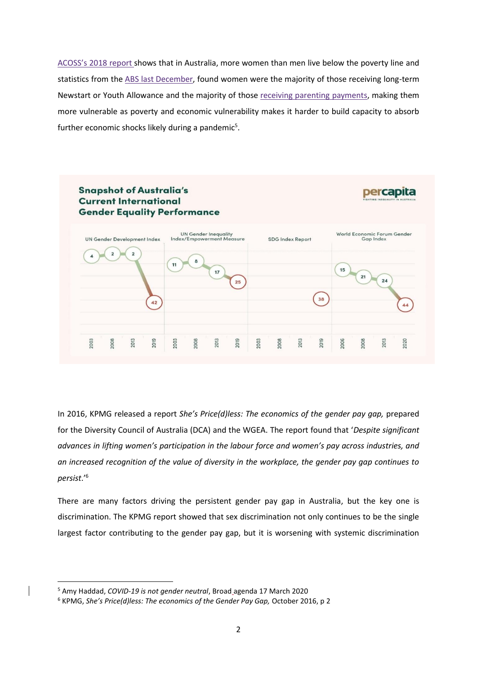ACOSS's 2018 report shows that in Australia, more women than men live below the poverty line and statistics from the ABS last December, found women were the majority of those receiving long-term Newstart or Youth Allowance and the majority of those receiving parenting payments, making them more vulnerable as poverty and economic vulnerability makes it harder to build capacity to absorb further economic shocks likely during a pandemic<sup>5</sup>.



In 2016, KPMG released a report *She's Price(d)less: The economics of the gender pay gap,* prepared for the Diversity Council of Australia (DCA) and the WGEA. The report found that '*Despite significant advances in lifting women's participation in the labour force and women's pay across industries, and an increased recognition of the value of diversity in the workplace, the gender pay gap continues to persist*.'<sup>6</sup>

There are many factors driving the persistent gender pay gap in Australia, but the key one is discrimination. The KPMG report showed that sex discrimination not only continues to be the single largest factor contributing to the gender pay gap, but it is worsening with systemic discrimination

<sup>5</sup> Amy Haddad, *COVID-19 is not gender neutral*, Broad agenda 17 March 2020

<sup>6</sup> KPMG, *She's Price(d)less: The economics of the Gender Pay Gap,* October 2016, p 2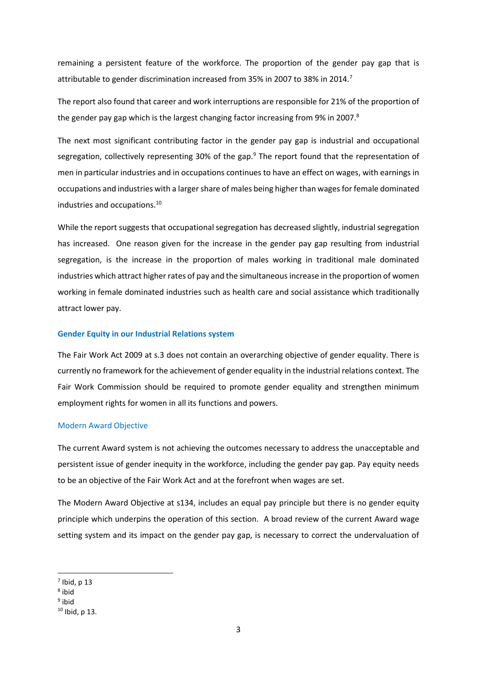remaining a persistent feature of the workforce. The proportion of the gender pay gap that is attributable to gender discrimination increased from 35% in 2007 to 38% in 2014.<sup>7</sup>

The report also found that career and work interruptions are responsible for 21% of the proportion of the gender pay gap which is the largest changing factor increasing from 9% in 2007.<sup>8</sup>

The next most significant contributing factor in the gender pay gap is industrial and occupational segregation, collectively representing 30% of the gap.<sup>9</sup> The report found that the representation of men in particular industries and in occupations continues to have an effect on wages, with earnings in occupations and industries with a larger share of males being higher than wages for female dominated industries and occupations.<sup>10</sup>

While the report suggests that occupational segregation has decreased slightly, industrial segregation has increased. One reason given for the increase in the gender pay gap resulting from industrial segregation, is the increase in the proportion of males working in traditional male dominated industries which attract higher rates of pay and the simultaneous increase in the proportion of women working in female dominated industries such as health care and social assistance which traditionally attract lower pay.

#### **Gender Equity in our Industrial Relations system**

The Fair Work Act 2009 at s.3 does not contain an overarching objective of gender equality. There is currently no framework for the achievement of gender equality in the industrial relations context. The Fair Work Commission should be required to promote gender equality and strengthen minimum employment rights for women in all its functions and powers.

#### Modern Award Objective

The current Award system is not achieving the outcomes necessary to address the unacceptable and persistent issue of gender inequity in the workforce, including the gender pay gap. Pay equity needs to be an objective of the Fair Work Act and at the forefront when wages are set.

The Modern Award Objective at s134, includes an equal pay principle but there is no gender equity principle which underpins the operation of this section. A broad review of the current Award wage setting system and its impact on the gender pay gap, is necessary to correct the undervaluation of

 $<sup>7</sup>$  Ibid, p 13</sup>

<sup>8</sup> ibid

<sup>&</sup>lt;sup>9</sup> ibid

 $10$  Ibid, p 13.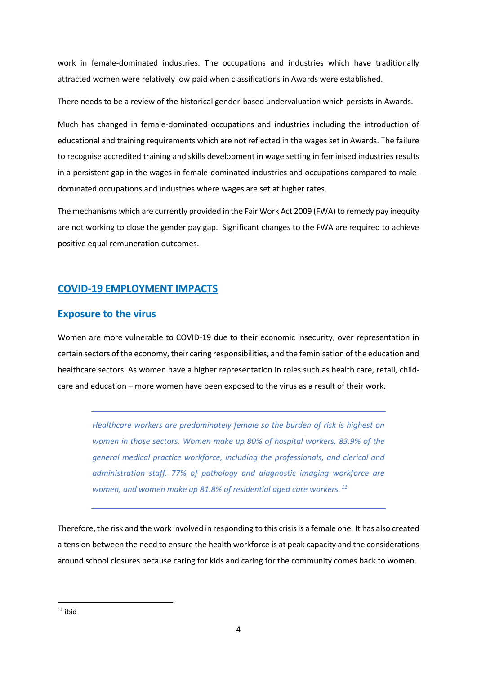work in female-dominated industries. The occupations and industries which have traditionally attracted women were relatively low paid when classifications in Awards were established.

There needs to be a review of the historical gender-based undervaluation which persists in Awards.

Much has changed in female-dominated occupations and industries including the introduction of educational and training requirements which are not reflected in the wages set in Awards. The failure to recognise accredited training and skills development in wage setting in feminised industries results in a persistent gap in the wages in female-dominated industries and occupations compared to maledominated occupations and industries where wages are set at higher rates.

The mechanisms which are currently provided in the Fair Work Act 2009 (FWA) to remedy pay inequity are not working to close the gender pay gap. Significant changes to the FWA are required to achieve positive equal remuneration outcomes.

# **COVID-19 EMPLOYMENT IMPACTS**

# **Exposure to the virus**

Women are more vulnerable to COVID-19 due to their economic insecurity, over representation in certain sectors of the economy, their caring responsibilities, and the feminisation of the education and healthcare sectors. As women have a higher representation in roles such as health care, retail, childcare and education – more women have been exposed to the virus as a result of their work.

*Healthcare workers are predominately female so the burden of risk is highest on women in those sectors. Women make up 80% of hospital workers, 83.9% of the general medical practice workforce, including the professionals, and clerical and administration staff. 77% of pathology and diagnostic imaging workforce are women, and women make up 81.8% of residential aged care workers. <sup>11</sup>*

Therefore, the risk and the work involved in responding to this crisis is a female one. It has also created a tension between the need to ensure the health workforce is at peak capacity and the considerations around school closures because caring for kids and caring for the community comes back to women.

 $11$  ibid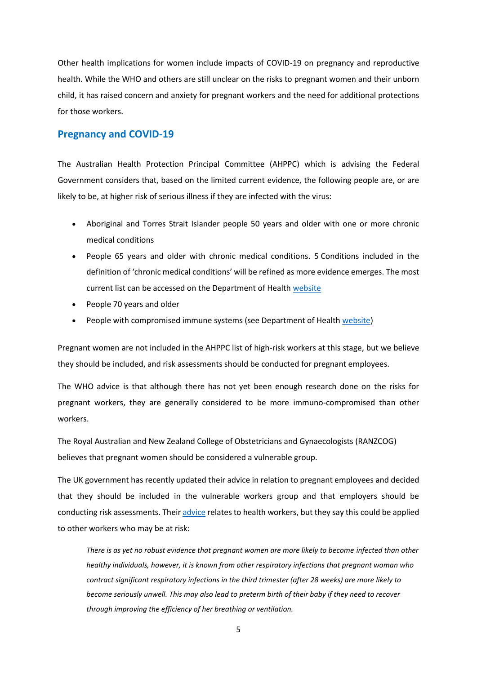Other health implications for women include impacts of COVID-19 on pregnancy and reproductive health. While the WHO and others are still unclear on the risks to pregnant women and their unborn child, it has raised concern and anxiety for pregnant workers and the need for additional protections for those workers.

### **Pregnancy and COVID-19**

The Australian Health Protection Principal Committee (AHPPC) which is advising the Federal Government considers that, based on the limited current evidence, the following people are, or are likely to be, at higher risk of serious illness if they are infected with the virus:

- Aboriginal and Torres Strait Islander people 50 years and older with one or more chronic medical conditions
- People 65 years and older with chronic medical conditions. 5 Conditions included in the definition of 'chronic medical conditions' will be refined as more evidence emerges. The most current list can be accessed on the Department of Health website
- People 70 years and older
- People with compromised immune systems (see Department of Health website)

Pregnant women are not included in the AHPPC list of high-risk workers at this stage, but we believe they should be included, and risk assessments should be conducted for pregnant employees.

The WHO advice is that although there has not yet been enough research done on the risks for pregnant workers, they are generally considered to be more immuno-compromised than other workers.

The Royal Australian and New Zealand College of Obstetricians and Gynaecologists (RANZCOG) believes that pregnant women should be considered a vulnerable group.

The UK government has recently updated their advice in relation to pregnant employees and decided that they should be included in the vulnerable workers group and that employers should be conducting risk assessments. Their advice relates to health workers, but they say this could be applied to other workers who may be at risk:

*There is as yet no robust evidence that pregnant women are more likely to become infected than other healthy individuals, however, it is known from other respiratory infections that pregnant woman who contract significant respiratory infections in the third trimester (after 28 weeks) are more likely to become seriously unwell. This may also lead to preterm birth of their baby if they need to recover through improving the efficiency of her breathing or ventilation.*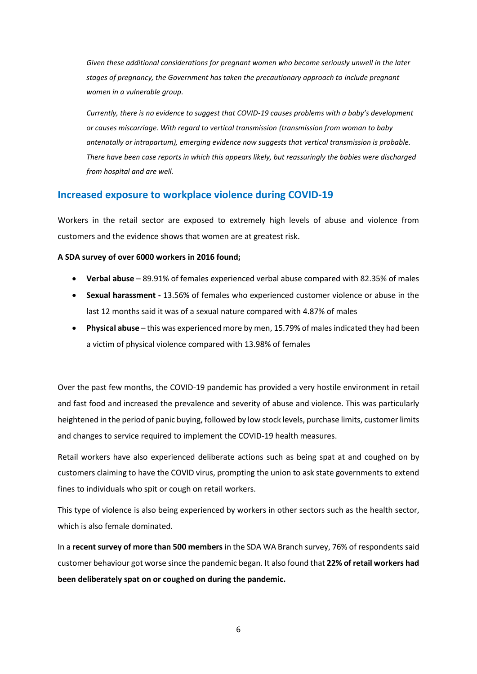*Given these additional considerations for pregnant women who become seriously unwell in the later stages of pregnancy, the Government has taken the precautionary approach to include pregnant women in a vulnerable group.* 

*Currently, there is no evidence to suggest that COVID-19 causes problems with a baby's development or causes miscarriage. With regard to vertical transmission (transmission from woman to baby antenatally or intrapartum), emerging evidence now suggests that vertical transmission is probable. There have been case reports in which this appears likely, but reassuringly the babies were discharged from hospital and are well.* 

# **Increased exposure to workplace violence during COVID-19**

Workers in the retail sector are exposed to extremely high levels of abuse and violence from customers and the evidence shows that women are at greatest risk.

#### **A SDA survey of over 6000 workers in 2016 found;**

- **Verbal abuse**  89.91% of females experienced verbal abuse compared with 82.35% of males
- **Sexual harassment -** 13.56% of females who experienced customer violence or abuse in the last 12 months said it was of a sexual nature compared with 4.87% of males
- **Physical abuse**  this was experienced more by men, 15.79% of males indicated they had been a victim of physical violence compared with 13.98% of females

Over the past few months, the COVID-19 pandemic has provided a very hostile environment in retail and fast food and increased the prevalence and severity of abuse and violence. This was particularly heightened in the period of panic buying, followed by low stock levels, purchase limits, customer limits and changes to service required to implement the COVID-19 health measures.

Retail workers have also experienced deliberate actions such as being spat at and coughed on by customers claiming to have the COVID virus, prompting the union to ask state governments to extend fines to individuals who spit or cough on retail workers.

This type of violence is also being experienced by workers in other sectors such as the health sector, which is also female dominated.

In a **recent survey of more than 500 members** in the SDA WA Branch survey, 76% of respondents said customer behaviour got worse since the pandemic began. It also found that **22% of retail workers had been deliberately spat on or coughed on during the pandemic.** 

6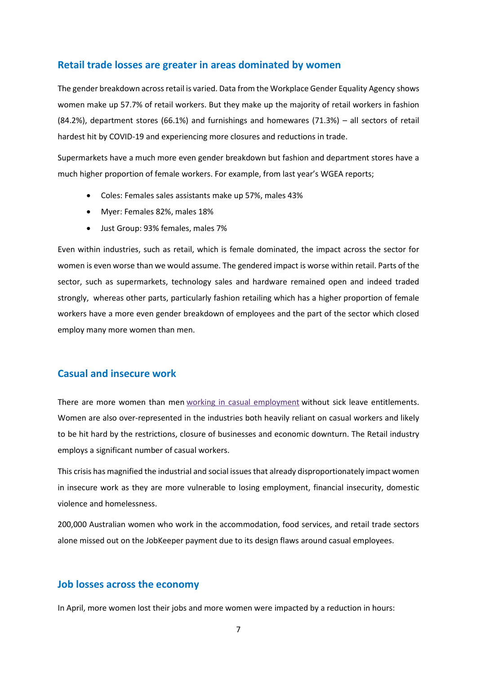# **Retail trade losses are greater in areas dominated by women**

The gender breakdown across retail is varied. Data from the Workplace Gender Equality Agency shows women make up 57.7% of retail workers. But they make up the majority of retail workers in fashion (84.2%), department stores (66.1%) and furnishings and homewares (71.3%) – all sectors of retail hardest hit by COVID-19 and experiencing more closures and reductions in trade.

Supermarkets have a much more even gender breakdown but fashion and department stores have a much higher proportion of female workers. For example, from last year's WGEA reports;

- Coles: Females sales assistants make up 57%, males 43%
- Myer: Females 82%, males 18%
- Just Group: 93% females, males 7%

Even within industries, such as retail, which is female dominated, the impact across the sector for women is even worse than we would assume. The gendered impact is worse within retail. Parts of the sector, such as supermarkets, technology sales and hardware remained open and indeed traded strongly, whereas other parts, particularly fashion retailing which has a higher proportion of female workers have a more even gender breakdown of employees and the part of the sector which closed employ many more women than men.

# **Casual and insecure work**

There are more women than men working in casual employment without sick leave entitlements. Women are also over-represented in the industries both heavily reliant on casual workers and likely to be hit hard by the restrictions, closure of businesses and economic downturn. The Retail industry employs a significant number of casual workers.

This crisis has magnified the industrial and social issues that already disproportionately impact women in insecure work as they are more vulnerable to losing employment, financial insecurity, domestic violence and homelessness.

200,000 Australian women who work in the accommodation, food services, and retail trade sectors alone missed out on the JobKeeper payment due to its design flaws around casual employees.

# **Job losses across the economy**

In April, more women lost their jobs and more women were impacted by a reduction in hours: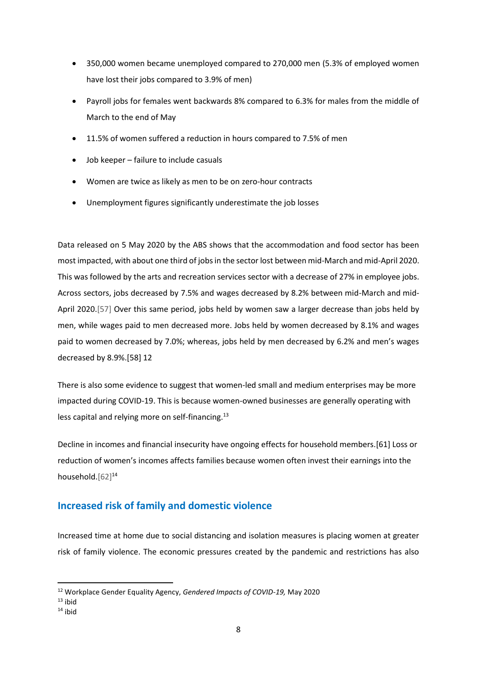- 350,000 women became unemployed compared to 270,000 men (5.3% of employed women have lost their jobs compared to 3.9% of men)
- Payroll jobs for females went backwards 8% compared to 6.3% for males from the middle of March to the end of May
- 11.5% of women suffered a reduction in hours compared to 7.5% of men
- Job keeper failure to include casuals
- Women are twice as likely as men to be on zero-hour contracts
- Unemployment figures significantly underestimate the job losses

Data released on 5 May 2020 by the ABS shows that the accommodation and food sector has been most impacted, with about one third of jobs in the sector lost between mid-March and mid-April 2020. This was followed by the arts and recreation services sector with a decrease of 27% in employee jobs. Across sectors, jobs decreased by 7.5% and wages decreased by 8.2% between mid-March and mid-April 2020.[57] Over this same period, jobs held by women saw a larger decrease than jobs held by men, while wages paid to men decreased more. Jobs held by women decreased by 8.1% and wages paid to women decreased by 7.0%; whereas, jobs held by men decreased by 6.2% and men's wages decreased by 8.9%.[58] 12

There is also some evidence to suggest that women-led small and medium enterprises may be more impacted during COVID-19. This is because women-owned businesses are generally operating with less capital and relying more on self-financing.<sup>13</sup>

Decline in incomes and financial insecurity have ongoing effects for household members.[61] Loss or reduction of women's incomes affects families because women often invest their earnings into the household.<sup>[62]14</sup>

# **Increased risk of family and domestic violence**

Increased time at home due to social distancing and isolation measures is placing women at greater risk of family violence. The economic pressures created by the pandemic and restrictions has also

<sup>12</sup> Workplace Gender Equality Agency, *Gendered Impacts of COVID-19,* May 2020

 $13$  ihid

 $14$  ibid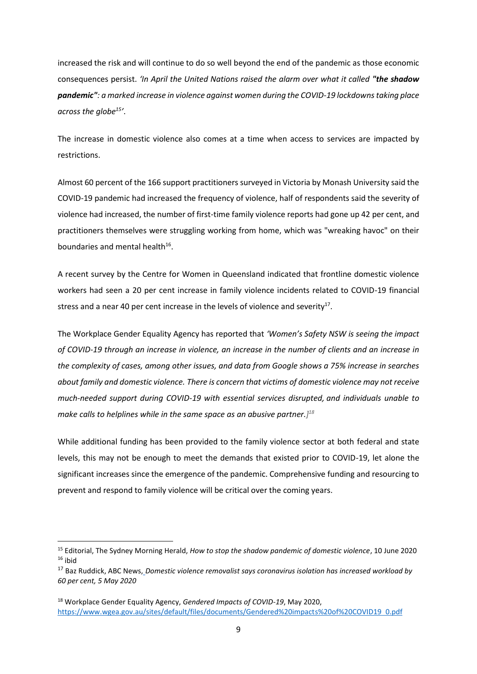increased the risk and will continue to do so well beyond the end of the pandemic as those economic consequences persist. *'In April the United Nations raised the alarm over what it called "the shadow pandemic": a marked increase in violence against women during the COVID-19 lockdowns taking place across the globe<sup>15</sup> '*.

The increase in domestic violence also comes at a time when access to services are impacted by restrictions.

Almost 60 percent of the 166 support practitioners surveyed in Victoria by Monash University said the COVID-19 pandemic had increased the frequency of violence, half of respondents said the severity of violence had increased, the number of first-time family violence reports had gone up 42 per cent, and practitioners themselves were struggling working from home, which was "wreaking havoc" on their boundaries and mental health<sup>16</sup>.

A recent survey by the Centre for Women in Queensland indicated that frontline domestic violence workers had seen a 20 per cent increase in family violence incidents related to COVID-19 financial stress and a near 40 per cent increase in the levels of violence and severity<sup>17</sup>.

The Workplace Gender Equality Agency has reported that *'Women's Safety NSW is seeing the impact of COVID-19 through an increase in violence, an increase in the number of clients and an increase in the complexity of cases, among other issues, and data from Google shows a 75% increase in searches about family and domestic violence. There is concern that victims of domestic violence may not receive much-needed support during COVID-19 with essential services disrupted, and individuals unable to make calls to helplines while in the same space as an abusive partner.] 18*

While additional funding has been provided to the family violence sector at both federal and state levels, this may not be enough to meet the demands that existed prior to COVID-19, let alone the significant increases since the emergence of the pandemic. Comprehensive funding and resourcing to prevent and respond to family violence will be critical over the coming years.

<sup>15</sup> Editorial, The Sydney Morning Herald, *How to stop the shadow pandemic of domestic violence*, 10 June 2020  $16$  ihid

<sup>17</sup> Baz Ruddick, ABC News, *Domestic violence removalist says coronavirus isolation has increased workload by 60 per cent, 5 May 2020*

<sup>18</sup> Workplace Gender Equality Agency, *Gendered Impacts of COVID-19*, May 2020, https://www.wgea.gov.au/sites/default/files/documents/Gendered%20impacts%20of%20COVID19 0.pdf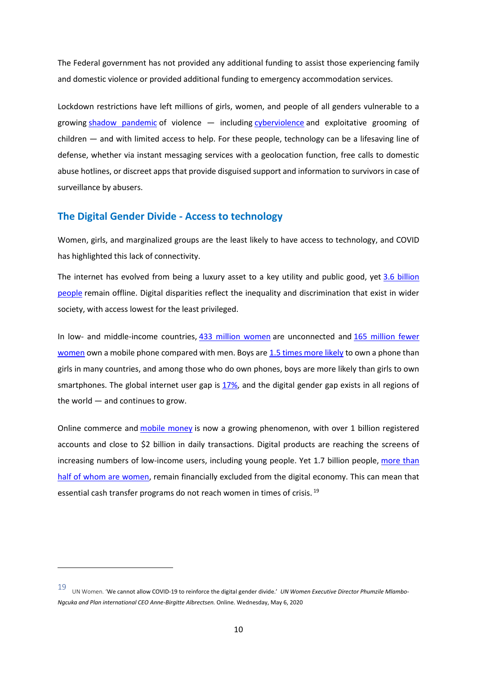The Federal government has not provided any additional funding to assist those experiencing family and domestic violence or provided additional funding to emergency accommodation services.

Lockdown restrictions have left millions of girls, women, and people of all genders vulnerable to a growing shadow pandemic of violence — including cyberviolence and exploitative grooming of children — and with limited access to help. For these people, technology can be a lifesaving line of defense, whether via instant messaging services with a geolocation function, free calls to domestic abuse hotlines, or discreet apps that provide disguised support and information to survivors in case of surveillance by abusers.

# **The Digital Gender Divide - Access to technology**

Women, girls, and marginalized groups are the least likely to have access to technology, and COVID has highlighted this lack of connectivity.

The internet has evolved from being a luxury asset to a key utility and public good, yet 3.6 billion people remain offline. Digital disparities reflect the inequality and discrimination that exist in wider society, with access lowest for the least privileged.

In low- and middle-income countries, 433 million women are unconnected and 165 million fewer women own a mobile phone compared with men. Boys are 1.5 times more likely to own a phone than girls in many countries, and among those who do own phones, boys are more likely than girls to own smartphones. The global internet user gap is 17%, and the digital gender gap exists in all regions of the world — and continues to grow.

Online commerce and **mobile money** is now a growing phenomenon, with over 1 billion registered accounts and close to \$2 billion in daily transactions. Digital products are reaching the screens of increasing numbers of low-income users, including young people. Yet 1.7 billion people, more than half of whom are women, remain financially excluded from the digital economy. This can mean that essential cash transfer programs do not reach women in times of crisis.<sup>19</sup>

<sup>19</sup> UN Women. 'We cannot allow COVID-19 to reinforce the digital gender divide.' *UN Women Executive Director Phumzile Mlambo-Ngcuka and Plan international CEO Anne-Birgitte Albrectsen.* Online. Wednesday, May 6, 2020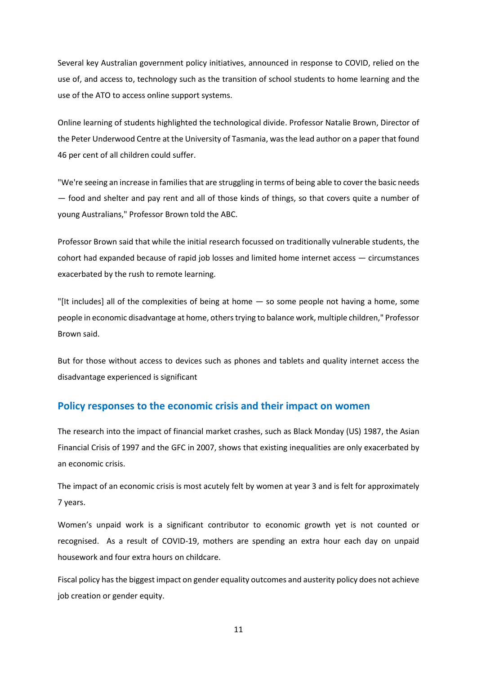Several key Australian government policy initiatives, announced in response to COVID, relied on the use of, and access to, technology such as the transition of school students to home learning and the use of the ATO to access online support systems.

Online learning of students highlighted the technological divide. Professor Natalie Brown, Director of the Peter Underwood Centre at the University of Tasmania, was the lead author on a paper that found 46 per cent of all children could suffer.

"We're seeing an increase in families that are struggling in terms of being able to cover the basic needs — food and shelter and pay rent and all of those kinds of things, so that covers quite a number of young Australians," Professor Brown told the ABC.

Professor Brown said that while the initial research focussed on traditionally vulnerable students, the cohort had expanded because of rapid job losses and limited home internet access — circumstances exacerbated by the rush to remote learning.

"[It includes] all of the complexities of being at home — so some people not having a home, some people in economic disadvantage at home, others trying to balance work, multiple children," Professor Brown said.

But for those without access to devices such as phones and tablets and quality internet access the disadvantage experienced is significant

# **Policy responses to the economic crisis and their impact on women**

The research into the impact of financial market crashes, such as Black Monday (US) 1987, the Asian Financial Crisis of 1997 and the GFC in 2007, shows that existing inequalities are only exacerbated by an economic crisis.

The impact of an economic crisis is most acutely felt by women at year 3 and is felt for approximately 7 years.

Women's unpaid work is a significant contributor to economic growth yet is not counted or recognised. As a result of COVID-19, mothers are spending an extra hour each day on unpaid housework and four extra hours on childcare.

Fiscal policy has the biggest impact on gender equality outcomes and austerity policy does not achieve job creation or gender equity.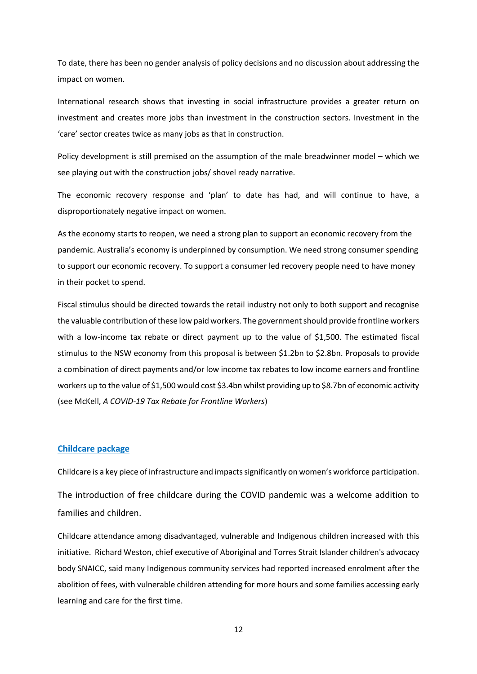To date, there has been no gender analysis of policy decisions and no discussion about addressing the impact on women.

International research shows that investing in social infrastructure provides a greater return on investment and creates more jobs than investment in the construction sectors. Investment in the 'care' sector creates twice as many jobs as that in construction.

Policy development is still premised on the assumption of the male breadwinner model – which we see playing out with the construction jobs/ shovel ready narrative.

The economic recovery response and 'plan' to date has had, and will continue to have, a disproportionately negative impact on women.

As the economy starts to reopen, we need a strong plan to support an economic recovery from the pandemic. Australia's economy is underpinned by consumption. We need strong consumer spending to support our economic recovery. To support a consumer led recovery people need to have money in their pocket to spend.

Fiscal stimulus should be directed towards the retail industry not only to both support and recognise the valuable contribution of these low paid workers. The government should provide frontline workers with a low-income tax rebate or direct payment up to the value of \$1,500. The estimated fiscal stimulus to the NSW economy from this proposal is between \$1.2bn to \$2.8bn. Proposals to provide a combination of direct payments and/or low income tax rebates to low income earners and frontline workers up to the value of \$1,500 would cost \$3.4bn whilst providing up to \$8.7bn of economic activity (see McKell, *A COVID-19 Tax Rebate for Frontline Workers*)

#### **Childcare package**

Childcare is a key piece of infrastructure and impacts significantly on women's workforce participation.

The introduction of free childcare during the COVID pandemic was a welcome addition to families and children.

Childcare attendance among disadvantaged, vulnerable and Indigenous children increased with this initiative. Richard Weston, chief executive of Aboriginal and Torres Strait Islander children's advocacy body SNAICC, said many Indigenous community services had reported increased enrolment after the abolition of fees, with vulnerable children attending for more hours and some families accessing early learning and care for the first time.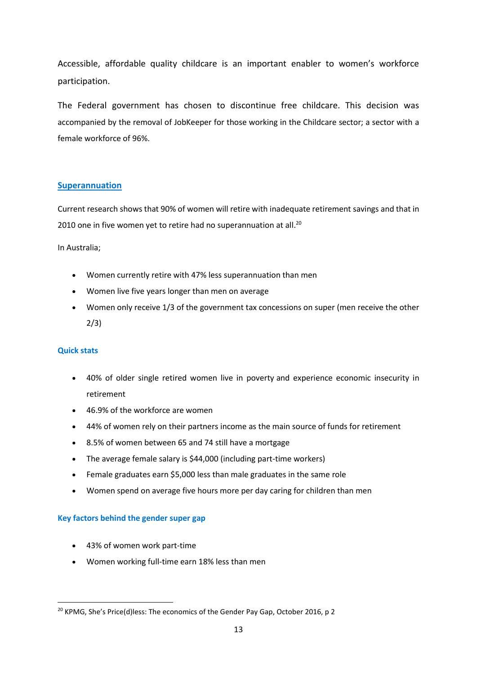Accessible, affordable quality childcare is an important enabler to women's workforce participation.

The Federal government has chosen to discontinue free childcare. This decision was accompanied by the removal of JobKeeper for those working in the Childcare sector; a sector with a female workforce of 96%.

# **Superannuation**

Current research shows that 90% of women will retire with inadequate retirement savings and that in 2010 one in five women yet to retire had no superannuation at all.<sup>20</sup>

In Australia;

- Women currently retire with 47% less superannuation than men
- Women live five years longer than men on average
- Women only receive 1/3 of the government tax concessions on super (men receive the other 2/3)

# **Quick stats**

- 40% of older single retired women live in poverty and experience economic insecurity in retirement
- 46.9% of the workforce are women
- 44% of women rely on their partners income as the main source of funds for retirement
- 8.5% of women between 65 and 74 still have a mortgage
- The average female salary is \$44,000 (including part-time workers)
- Female graduates earn \$5,000 less than male graduates in the same role
- Women spend on average five hours more per day caring for children than men

# **Key factors behind the gender super gap**

- 43% of women work part-time
- Women working full-time earn 18% less than men

<sup>&</sup>lt;sup>20</sup> KPMG, She's Price(d)less: The economics of the Gender Pay Gap, October 2016, p 2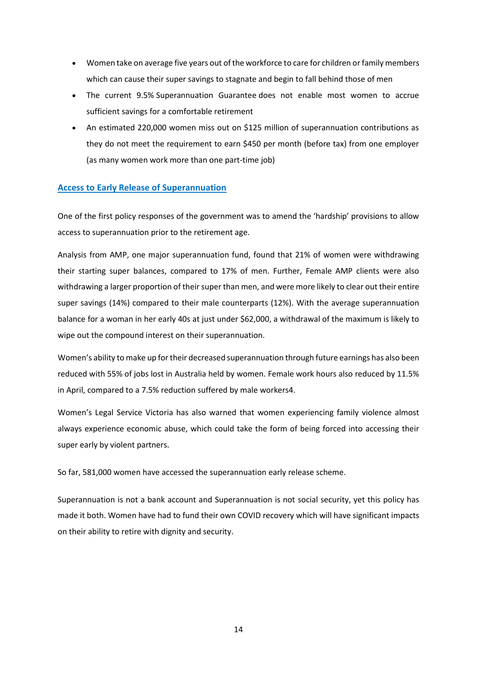- Women take on average five years out of the workforce to care for children or family members which can cause their super savings to stagnate and begin to fall behind those of men
- The current 9.5% Superannuation Guarantee does not enable most women to accrue sufficient savings for a comfortable retirement
- An estimated 220,000 women miss out on \$125 million of superannuation contributions as they do not meet the requirement to earn \$450 per month (before tax) from one employer (as many women work more than one part-time job)

### **Access to Early Release of Superannuation**

One of the first policy responses of the government was to amend the 'hardship' provisions to allow access to superannuation prior to the retirement age.

Analysis from AMP, one major superannuation fund, found that 21% of women were withdrawing their starting super balances, compared to 17% of men. Further, Female AMP clients were also withdrawing a larger proportion of their super than men, and were more likely to clear out their entire super savings (14%) compared to their male counterparts (12%). With the average superannuation balance for a woman in her early 40s at just under \$62,000, a withdrawal of the maximum is likely to wipe out the compound interest on their superannuation.

Women's ability to make up for their decreased superannuation through future earnings has also been reduced with 55% of jobs lost in Australia held by women. Female work hours also reduced by 11.5% in April, compared to a 7.5% reduction suffered by male workers4.

Women's Legal Service Victoria has also warned that women experiencing family violence almost always experience economic abuse, which could take the form of being forced into accessing their super early by violent partners.

So far, 581,000 women have accessed the superannuation early release scheme.

Superannuation is not a bank account and Superannuation is not social security, yet this policy has made it both. Women have had to fund their own COVID recovery which will have significant impacts on their ability to retire with dignity and security.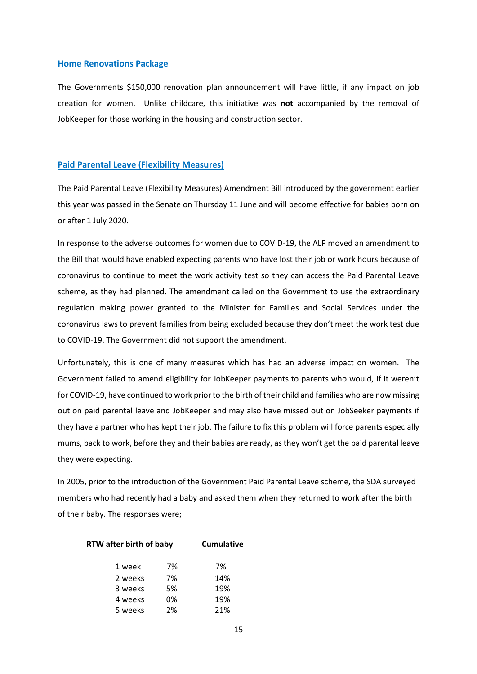#### **Home Renovations Package**

The Governments \$150,000 renovation plan announcement will have little, if any impact on job creation for women. Unlike childcare, this initiative was **not** accompanied by the removal of JobKeeper for those working in the housing and construction sector.

#### **Paid Parental Leave (Flexibility Measures)**

The Paid Parental Leave (Flexibility Measures) Amendment Bill introduced by the government earlier this year was passed in the Senate on Thursday 11 June and will become effective for babies born on or after 1 July 2020.

In response to the adverse outcomes for women due to COVID-19, the ALP moved an amendment to the Bill that would have enabled expecting parents who have lost their job or work hours because of coronavirus to continue to meet the work activity test so they can access the Paid Parental Leave scheme, as they had planned. The amendment called on the Government to use the extraordinary regulation making power granted to the Minister for Families and Social Services under the coronavirus laws to prevent families from being excluded because they don't meet the work test due to COVID-19. The Government did not support the amendment.

Unfortunately, this is one of many measures which has had an adverse impact on women. The Government failed to amend eligibility for JobKeeper payments to parents who would, if it weren't for COVID-19, have continued to work prior to the birth of their child and families who are now missing out on paid parental leave and JobKeeper and may also have missed out on JobSeeker payments if they have a partner who has kept their job. The failure to fix this problem will force parents especially mums, back to work, before they and their babies are ready, as they won't get the paid parental leave they were expecting.

In 2005, prior to the introduction of the Government Paid Parental Leave scheme, the SDA surveyed members who had recently had a baby and asked them when they returned to work after the birth of their baby. The responses were;

#### **RTW after birth of baby Cumulative**

| 1 week  | 7% | 7%  |
|---------|----|-----|
| 2 weeks | 7% | 14% |
| 3 weeks | 5% | 19% |
| 4 weeks | 0% | 19% |
| 5 weeks | 2% | 21% |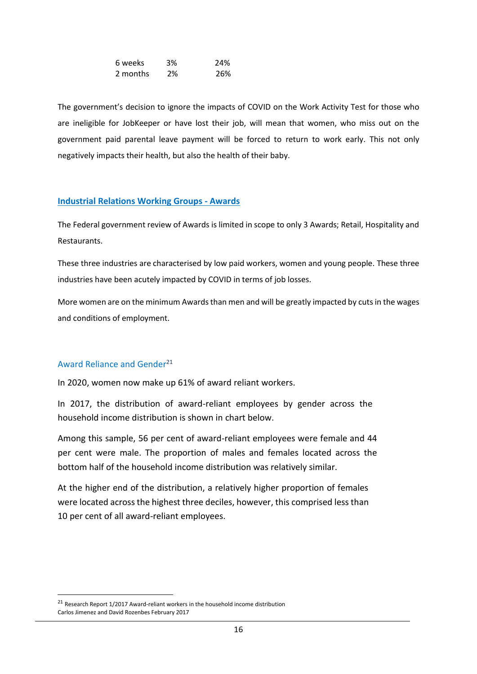| 6 weeks  | 3% | 24% |
|----------|----|-----|
| 2 months | 2% | 26% |

The government's decision to ignore the impacts of COVID on the Work Activity Test for those who are ineligible for JobKeeper or have lost their job, will mean that women, who miss out on the government paid parental leave payment will be forced to return to work early. This not only negatively impacts their health, but also the health of their baby.

# **Industrial Relations Working Groups - Awards**

The Federal government review of Awards is limited in scope to only 3 Awards; Retail, Hospitality and Restaurants.

These three industries are characterised by low paid workers, women and young people. These three industries have been acutely impacted by COVID in terms of job losses.

More women are on the minimum Awards than men and will be greatly impacted by cuts in the wages and conditions of employment.

# Award Reliance and Gender<sup>21</sup>

In 2020, women now make up 61% of award reliant workers.

In 2017, the distribution of award-reliant employees by gender across the household income distribution is shown in chart below.

Among this sample, 56 per cent of award-reliant employees were female and 44 per cent were male. The proportion of males and females located across the bottom half of the household income distribution was relatively similar.

At the higher end of the distribution, a relatively higher proportion of females were located across the highest three deciles, however, this comprised less than 10 per cent of all award-reliant employees.

 $21$  Research Report 1/2017 Award-reliant workers in the household income distribution Carlos Jimenez and David Rozenbes February 2017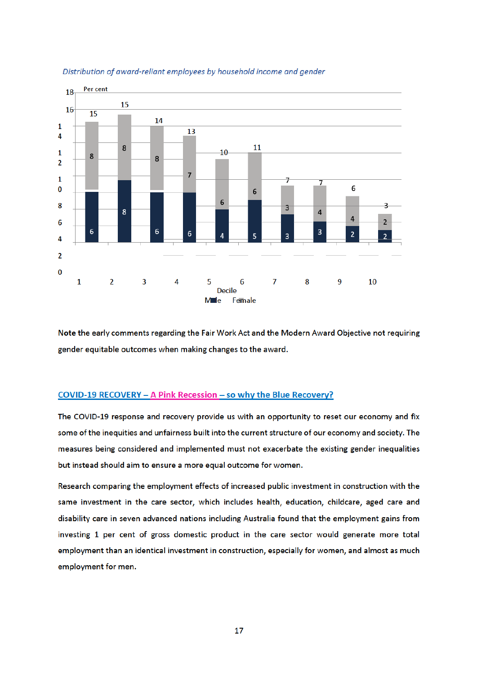

#### Distribution of award-reliant employees by household income and gender

Note the early comments regarding the Fair Work Act and the Modern Award Objective not requiring gender equitable outcomes when making changes to the award.

#### COVID-19 RECOVERY - A Pink Recession - so why the Blue Recovery?

The COVID-19 response and recovery provide us with an opportunity to reset our economy and fix some of the inequities and unfairness built into the current structure of our economy and society. The measures being considered and implemented must not exacerbate the existing gender inequalities but instead should aim to ensure a more equal outcome for women.

Research comparing the employment effects of increased public investment in construction with the same investment in the care sector, which includes health, education, childcare, aged care and disability care in seven advanced nations including Australia found that the employment gains from investing 1 per cent of gross domestic product in the care sector would generate more total employment than an identical investment in construction, especially for women, and almost as much employment for men.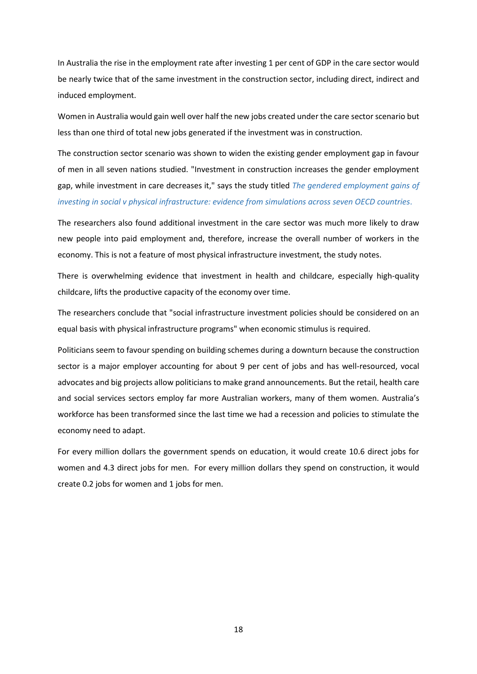In Australia the rise in the employment rate after investing 1 per cent of GDP in the care sector would be nearly twice that of the same investment in the construction sector, including direct, indirect and induced employment.

Women in Australia would gain well over half the new jobs created under the care sector scenario but less than one third of total new jobs generated if the investment was in construction.

The construction sector scenario was shown to widen the existing gender employment gap in favour of men in all seven nations studied. "Investment in construction increases the gender employment gap, while investment in care decreases it," says the study titled *The gendered employment gains of investing in social v physical infrastructure: evidence from simulations across seven OECD countries*.

The researchers also found additional investment in the care sector was much more likely to draw new people into paid employment and, therefore, increase the overall number of workers in the economy. This is not a feature of most physical infrastructure investment, the study notes.

There is overwhelming evidence that investment in health and childcare, especially high-quality childcare, lifts the productive capacity of the economy over time.

The researchers conclude that "social infrastructure investment policies should be considered on an equal basis with physical infrastructure programs" when economic stimulus is required.

Politicians seem to favour spending on building schemes during a downturn because the construction sector is a major employer accounting for about 9 per cent of jobs and has well-resourced, vocal advocates and big projects allow politicians to make grand announcements. But the retail, health care and social services sectors employ far more Australian workers, many of them women. Australia's workforce has been transformed since the last time we had a recession and policies to stimulate the economy need to adapt.

For every million dollars the government spends on education, it would create 10.6 direct jobs for women and 4.3 direct jobs for men. For every million dollars they spend on construction, it would create 0.2 jobs for women and 1 jobs for men.